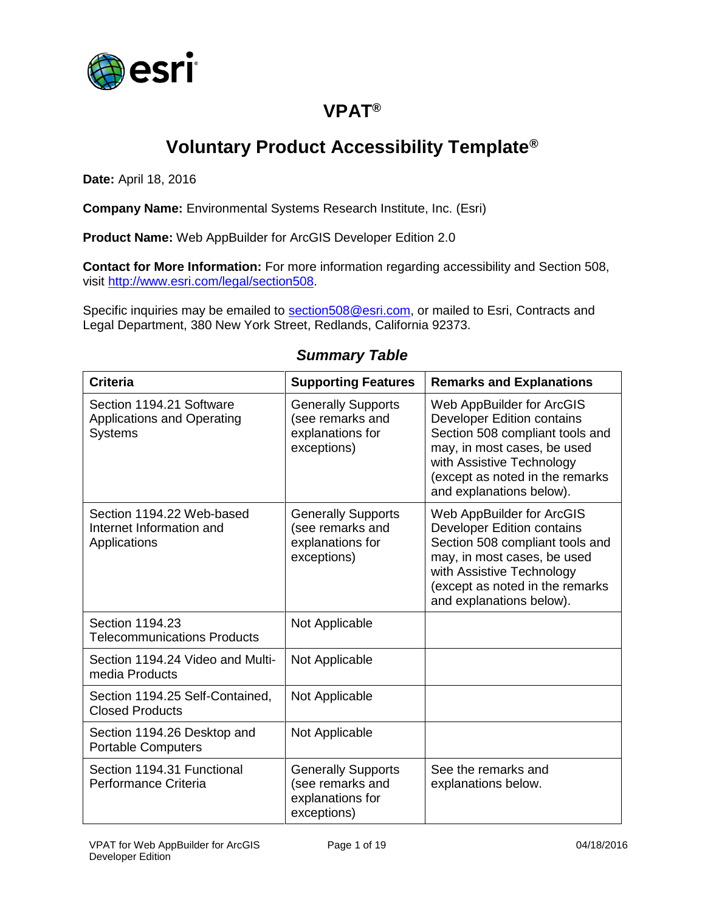

# **VPAT®**

# **Voluntary Product Accessibility Template®**

**Date:** April 18, 2016

**Company Name:** Environmental Systems Research Institute, Inc. (Esri)

**Product Name:** Web AppBuilder for ArcGIS Developer Edition 2.0

**Contact for More Information:** For more information regarding accessibility and Section 508, visit [http://www.esri.com/legal/section508.](http://www.esri.com/legal/section508)

Specific inquiries may be emailed to [section508@esri.com,](mailto:section508@esri.com) or mailed to Esri, Contracts and Legal Department, 380 New York Street, Redlands, California 92373.

| <b>Criteria</b>                                                                 | <b>Supporting Features</b>                                                       | <b>Remarks and Explanations</b>                                                                                                                                                                                              |
|---------------------------------------------------------------------------------|----------------------------------------------------------------------------------|------------------------------------------------------------------------------------------------------------------------------------------------------------------------------------------------------------------------------|
| Section 1194.21 Software<br><b>Applications and Operating</b><br><b>Systems</b> | <b>Generally Supports</b><br>(see remarks and<br>explanations for<br>exceptions) | Web AppBuilder for ArcGIS<br><b>Developer Edition contains</b><br>Section 508 compliant tools and<br>may, in most cases, be used<br>with Assistive Technology<br>(except as noted in the remarks<br>and explanations below). |
| Section 1194.22 Web-based<br>Internet Information and<br>Applications           | <b>Generally Supports</b><br>(see remarks and<br>explanations for<br>exceptions) | Web AppBuilder for ArcGIS<br><b>Developer Edition contains</b><br>Section 508 compliant tools and<br>may, in most cases, be used<br>with Assistive Technology<br>(except as noted in the remarks<br>and explanations below). |
| Section 1194.23<br><b>Telecommunications Products</b>                           | Not Applicable                                                                   |                                                                                                                                                                                                                              |
| Section 1194.24 Video and Multi-<br>media Products                              | Not Applicable                                                                   |                                                                                                                                                                                                                              |
| Section 1194.25 Self-Contained,<br><b>Closed Products</b>                       | Not Applicable                                                                   |                                                                                                                                                                                                                              |
| Section 1194.26 Desktop and<br><b>Portable Computers</b>                        | Not Applicable                                                                   |                                                                                                                                                                                                                              |
| Section 1194.31 Functional<br>Performance Criteria                              | <b>Generally Supports</b><br>(see remarks and<br>explanations for<br>exceptions) | See the remarks and<br>explanations below.                                                                                                                                                                                   |

#### *Summary Table*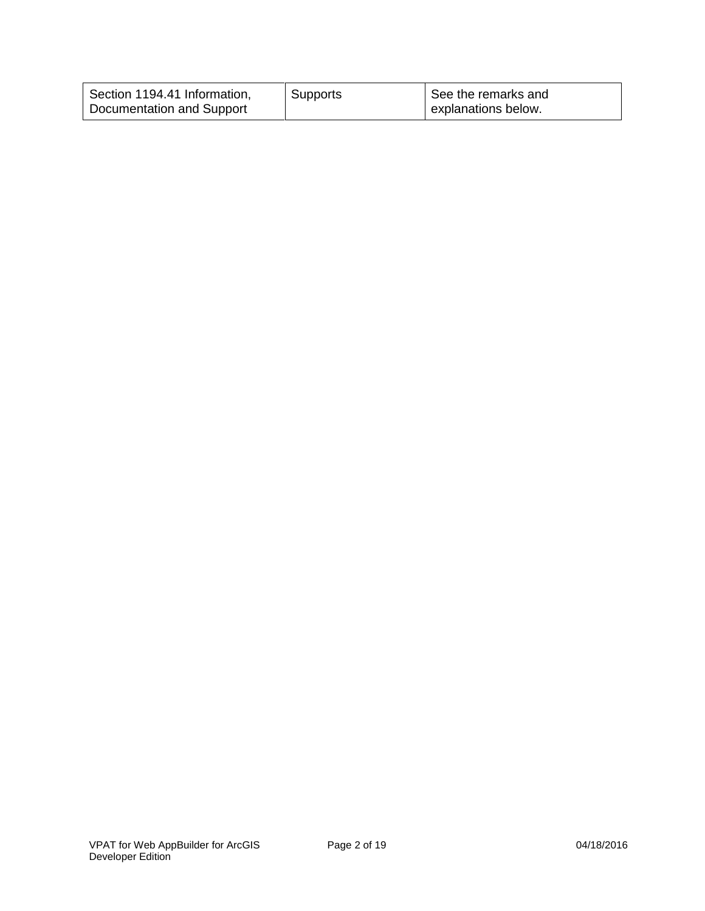| Section 1194.41 Information, | Supports | See the remarks and |
|------------------------------|----------|---------------------|
| Documentation and Support    |          | explanations below. |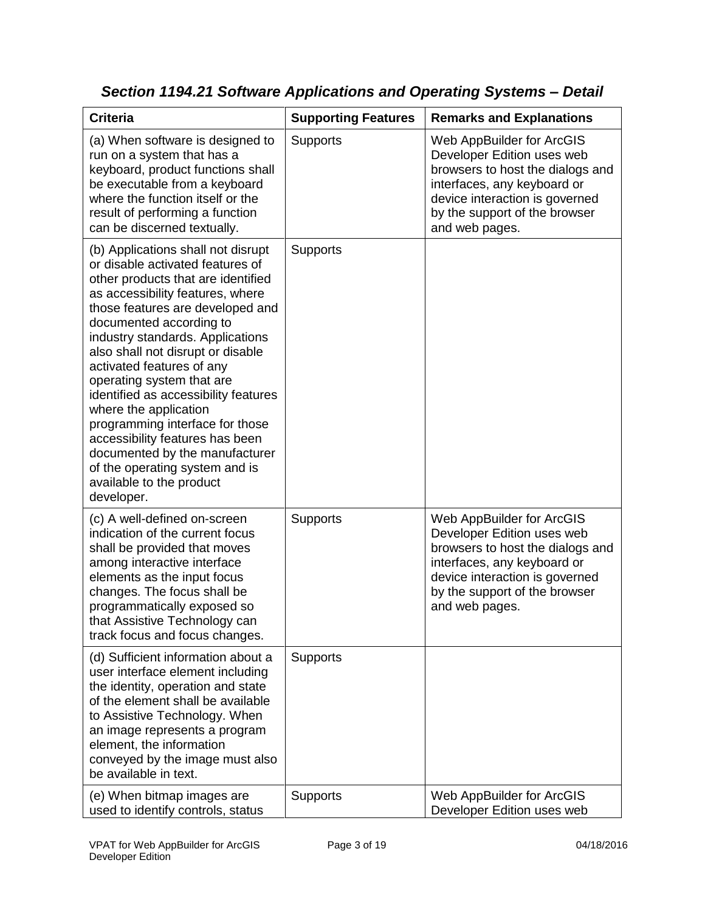| <b>Criteria</b>                                                                                                                                                                                                                                                                                                                                                                                                                                                                                                                                                                                         | <b>Supporting Features</b> | <b>Remarks and Explanations</b>                                                                                                                                                                                 |
|---------------------------------------------------------------------------------------------------------------------------------------------------------------------------------------------------------------------------------------------------------------------------------------------------------------------------------------------------------------------------------------------------------------------------------------------------------------------------------------------------------------------------------------------------------------------------------------------------------|----------------------------|-----------------------------------------------------------------------------------------------------------------------------------------------------------------------------------------------------------------|
| (a) When software is designed to<br>run on a system that has a<br>keyboard, product functions shall<br>be executable from a keyboard<br>where the function itself or the<br>result of performing a function<br>can be discerned textually.                                                                                                                                                                                                                                                                                                                                                              | <b>Supports</b>            | Web AppBuilder for ArcGIS<br>Developer Edition uses web<br>browsers to host the dialogs and<br>interfaces, any keyboard or<br>device interaction is governed<br>by the support of the browser<br>and web pages. |
| (b) Applications shall not disrupt<br>or disable activated features of<br>other products that are identified<br>as accessibility features, where<br>those features are developed and<br>documented according to<br>industry standards. Applications<br>also shall not disrupt or disable<br>activated features of any<br>operating system that are<br>identified as accessibility features<br>where the application<br>programming interface for those<br>accessibility features has been<br>documented by the manufacturer<br>of the operating system and is<br>available to the product<br>developer. | Supports                   |                                                                                                                                                                                                                 |
| (c) A well-defined on-screen<br>indication of the current focus<br>shall be provided that moves<br>among interactive interface<br>elements as the input focus<br>changes. The focus shall be<br>programmatically exposed so<br>that Assistive Technology can<br>track focus and focus changes.                                                                                                                                                                                                                                                                                                          | <b>Supports</b>            | Web AppBuilder for ArcGIS<br>Developer Edition uses web<br>browsers to host the dialogs and<br>interfaces, any keyboard or<br>device interaction is governed<br>by the support of the browser<br>and web pages. |
| (d) Sufficient information about a<br>user interface element including<br>the identity, operation and state<br>of the element shall be available<br>to Assistive Technology. When<br>an image represents a program<br>element, the information<br>conveyed by the image must also<br>be available in text.                                                                                                                                                                                                                                                                                              | <b>Supports</b>            |                                                                                                                                                                                                                 |
| (e) When bitmap images are<br>used to identify controls, status                                                                                                                                                                                                                                                                                                                                                                                                                                                                                                                                         | Supports                   | Web AppBuilder for ArcGIS<br>Developer Edition uses web                                                                                                                                                         |

*Section 1194.21 Software Applications and Operating Systems – Detail*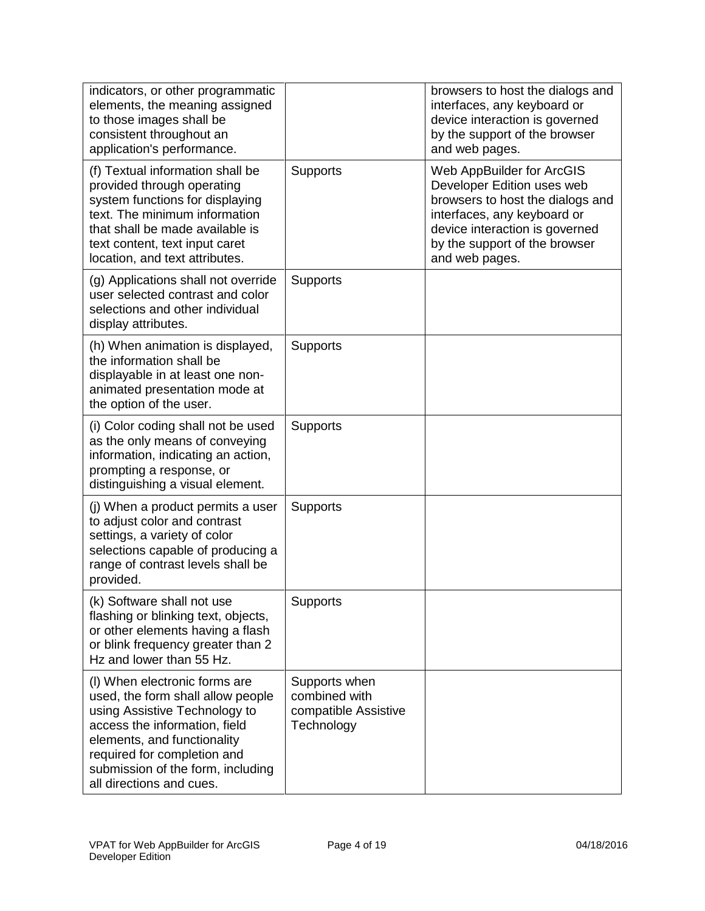| indicators, or other programmatic<br>elements, the meaning assigned<br>to those images shall be<br>consistent throughout an<br>application's performance.                                                                                                           |                                                                      | browsers to host the dialogs and<br>interfaces, any keyboard or<br>device interaction is governed<br>by the support of the browser<br>and web pages.                                                            |
|---------------------------------------------------------------------------------------------------------------------------------------------------------------------------------------------------------------------------------------------------------------------|----------------------------------------------------------------------|-----------------------------------------------------------------------------------------------------------------------------------------------------------------------------------------------------------------|
| (f) Textual information shall be<br>provided through operating<br>system functions for displaying<br>text. The minimum information<br>that shall be made available is<br>text content, text input caret<br>location, and text attributes.                           | Supports                                                             | Web AppBuilder for ArcGIS<br>Developer Edition uses web<br>browsers to host the dialogs and<br>interfaces, any keyboard or<br>device interaction is governed<br>by the support of the browser<br>and web pages. |
| (g) Applications shall not override<br>user selected contrast and color<br>selections and other individual<br>display attributes.                                                                                                                                   | Supports                                                             |                                                                                                                                                                                                                 |
| (h) When animation is displayed,<br>the information shall be<br>displayable in at least one non-<br>animated presentation mode at<br>the option of the user.                                                                                                        | <b>Supports</b>                                                      |                                                                                                                                                                                                                 |
| (i) Color coding shall not be used<br>as the only means of conveying<br>information, indicating an action,<br>prompting a response, or<br>distinguishing a visual element.                                                                                          | Supports                                                             |                                                                                                                                                                                                                 |
| (j) When a product permits a user<br>to adjust color and contrast<br>settings, a variety of color<br>selections capable of producing a<br>range of contrast levels shall be<br>provided.                                                                            | <b>Supports</b>                                                      |                                                                                                                                                                                                                 |
| (k) Software shall not use<br>flashing or blinking text, objects,<br>or other elements having a flash<br>or blink frequency greater than 2<br>Hz and lower than 55 Hz.                                                                                              | <b>Supports</b>                                                      |                                                                                                                                                                                                                 |
| (I) When electronic forms are<br>used, the form shall allow people<br>using Assistive Technology to<br>access the information, field<br>elements, and functionality<br>required for completion and<br>submission of the form, including<br>all directions and cues. | Supports when<br>combined with<br>compatible Assistive<br>Technology |                                                                                                                                                                                                                 |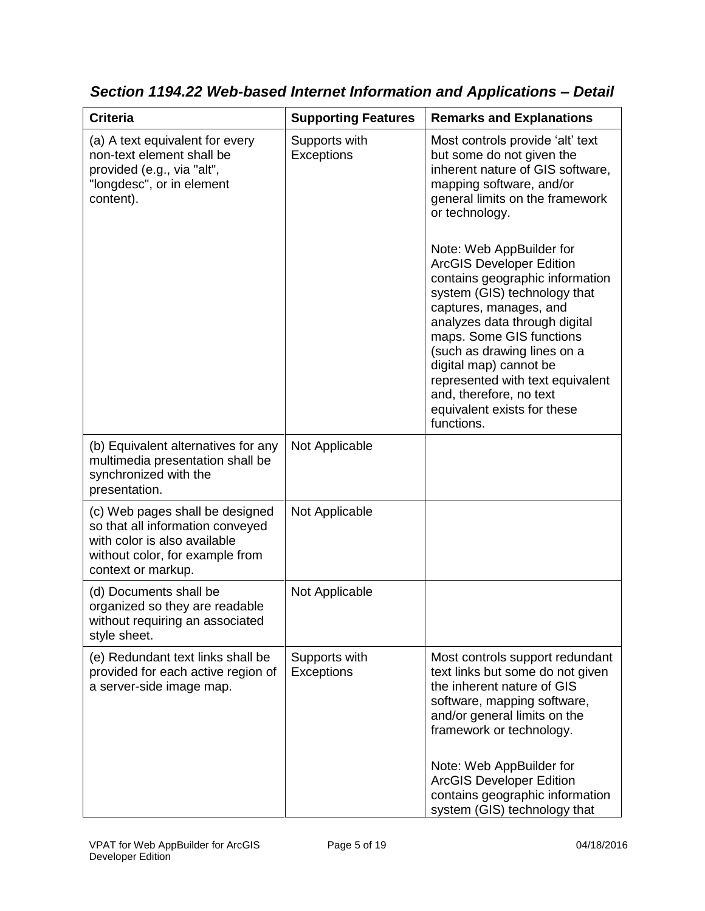| <b>Criteria</b>                                                                                                                                              | <b>Supporting Features</b>         | <b>Remarks and Explanations</b>                                                                                                                                                                                                                                                                                                                                                                                                                                                                                                                                                  |
|--------------------------------------------------------------------------------------------------------------------------------------------------------------|------------------------------------|----------------------------------------------------------------------------------------------------------------------------------------------------------------------------------------------------------------------------------------------------------------------------------------------------------------------------------------------------------------------------------------------------------------------------------------------------------------------------------------------------------------------------------------------------------------------------------|
| (a) A text equivalent for every<br>non-text element shall be<br>provided (e.g., via "alt",<br>"longdesc", or in element<br>content).                         | Supports with<br><b>Exceptions</b> | Most controls provide 'alt' text<br>but some do not given the<br>inherent nature of GIS software,<br>mapping software, and/or<br>general limits on the framework<br>or technology.<br>Note: Web AppBuilder for<br><b>ArcGIS Developer Edition</b><br>contains geographic information<br>system (GIS) technology that<br>captures, manages, and<br>analyzes data through digital<br>maps. Some GIS functions<br>(such as drawing lines on a<br>digital map) cannot be<br>represented with text equivalent<br>and, therefore, no text<br>equivalent exists for these<br>functions. |
| (b) Equivalent alternatives for any<br>multimedia presentation shall be<br>synchronized with the<br>presentation.                                            | Not Applicable                     |                                                                                                                                                                                                                                                                                                                                                                                                                                                                                                                                                                                  |
| (c) Web pages shall be designed<br>so that all information conveyed<br>with color is also available<br>without color, for example from<br>context or markup. | Not Applicable                     |                                                                                                                                                                                                                                                                                                                                                                                                                                                                                                                                                                                  |
| (d) Documents shall be<br>organized so they are readable<br>without requiring an associated<br>style sheet.                                                  | Not Applicable                     |                                                                                                                                                                                                                                                                                                                                                                                                                                                                                                                                                                                  |
| (e) Redundant text links shall be<br>provided for each active region of<br>a server-side image map.                                                          | Supports with<br><b>Exceptions</b> | Most controls support redundant<br>text links but some do not given<br>the inherent nature of GIS<br>software, mapping software,<br>and/or general limits on the<br>framework or technology.<br>Note: Web AppBuilder for<br><b>ArcGIS Developer Edition</b><br>contains geographic information<br>system (GIS) technology that                                                                                                                                                                                                                                                   |

*Section 1194.22 Web-based Internet Information and Applications – Detail*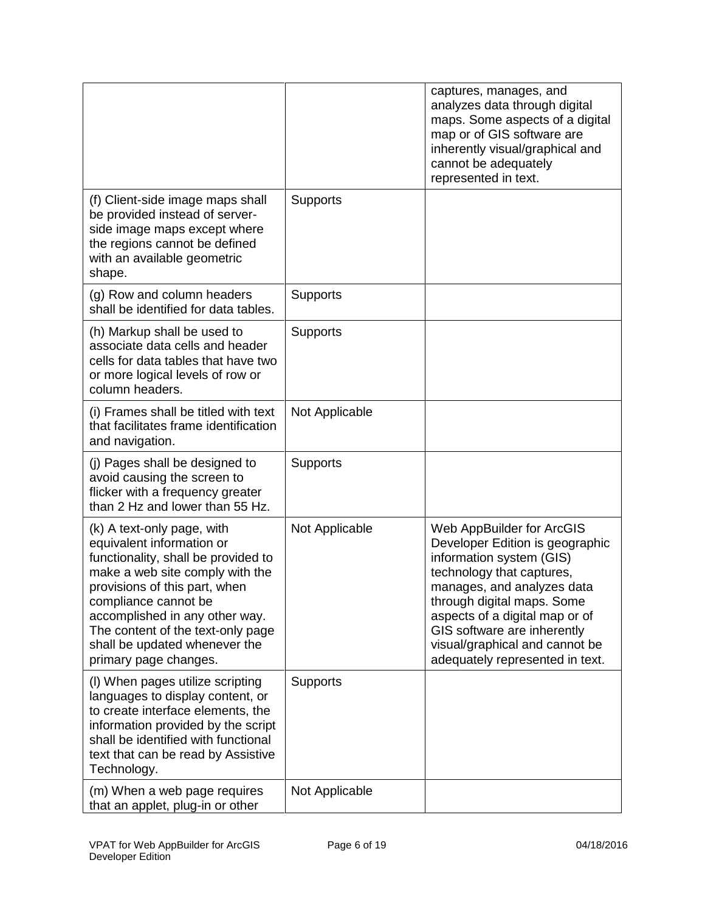|                                                                                                                                                                                                                                                                                                                             |                 | captures, manages, and<br>analyzes data through digital<br>maps. Some aspects of a digital<br>map or of GIS software are<br>inherently visual/graphical and<br>cannot be adequately<br>represented in text.                                                                                                             |
|-----------------------------------------------------------------------------------------------------------------------------------------------------------------------------------------------------------------------------------------------------------------------------------------------------------------------------|-----------------|-------------------------------------------------------------------------------------------------------------------------------------------------------------------------------------------------------------------------------------------------------------------------------------------------------------------------|
| (f) Client-side image maps shall<br>be provided instead of server-<br>side image maps except where<br>the regions cannot be defined<br>with an available geometric<br>shape.                                                                                                                                                | Supports        |                                                                                                                                                                                                                                                                                                                         |
| (g) Row and column headers<br>shall be identified for data tables.                                                                                                                                                                                                                                                          | <b>Supports</b> |                                                                                                                                                                                                                                                                                                                         |
| (h) Markup shall be used to<br>associate data cells and header<br>cells for data tables that have two<br>or more logical levels of row or<br>column headers.                                                                                                                                                                | <b>Supports</b> |                                                                                                                                                                                                                                                                                                                         |
| (i) Frames shall be titled with text<br>that facilitates frame identification<br>and navigation.                                                                                                                                                                                                                            | Not Applicable  |                                                                                                                                                                                                                                                                                                                         |
| (j) Pages shall be designed to<br>avoid causing the screen to<br>flicker with a frequency greater<br>than 2 Hz and lower than 55 Hz.                                                                                                                                                                                        | <b>Supports</b> |                                                                                                                                                                                                                                                                                                                         |
| (k) A text-only page, with<br>equivalent information or<br>functionality, shall be provided to<br>make a web site comply with the<br>provisions of this part, when<br>compliance cannot be<br>accomplished in any other way.<br>The content of the text-only page<br>shall be updated whenever the<br>primary page changes. | Not Applicable  | Web AppBuilder for ArcGIS<br>Developer Edition is geographic<br>information system (GIS)<br>technology that captures,<br>manages, and analyzes data<br>through digital maps. Some<br>aspects of a digital map or of<br>GIS software are inherently<br>visual/graphical and cannot be<br>adequately represented in text. |
| (I) When pages utilize scripting<br>languages to display content, or<br>to create interface elements, the<br>information provided by the script<br>shall be identified with functional<br>text that can be read by Assistive<br>Technology.                                                                                 | <b>Supports</b> |                                                                                                                                                                                                                                                                                                                         |
| (m) When a web page requires<br>that an applet, plug-in or other                                                                                                                                                                                                                                                            | Not Applicable  |                                                                                                                                                                                                                                                                                                                         |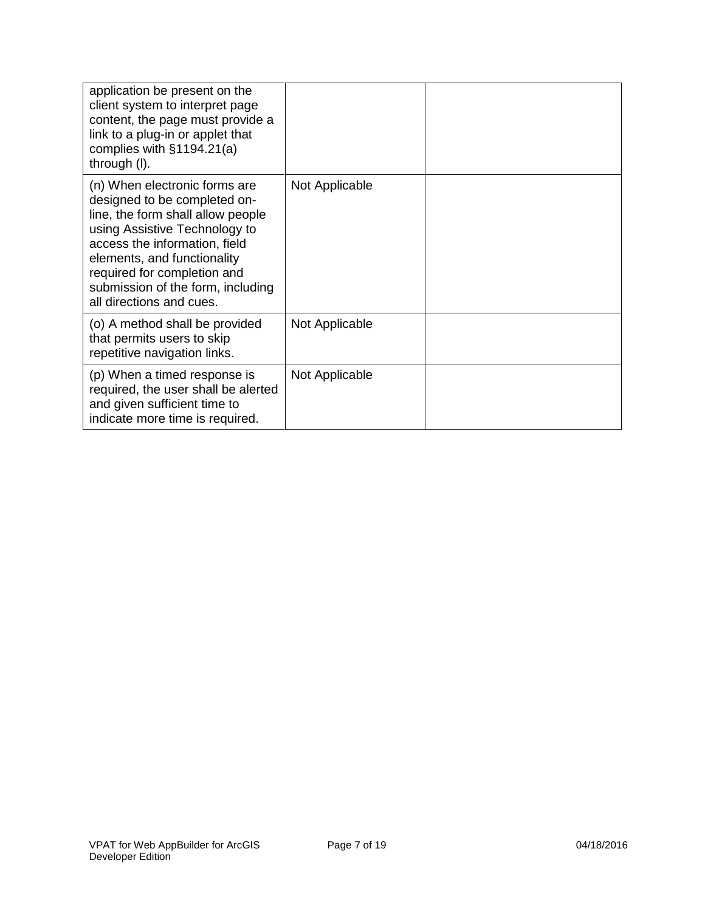| application be present on the<br>client system to interpret page<br>content, the page must provide a<br>link to a plug-in or applet that<br>complies with $§1194.21(a)$<br>through (I).                                                                                                             |                |  |
|-----------------------------------------------------------------------------------------------------------------------------------------------------------------------------------------------------------------------------------------------------------------------------------------------------|----------------|--|
| (n) When electronic forms are<br>designed to be completed on-<br>line, the form shall allow people<br>using Assistive Technology to<br>access the information, field<br>elements, and functionality<br>required for completion and<br>submission of the form, including<br>all directions and cues. | Not Applicable |  |
| (o) A method shall be provided<br>that permits users to skip<br>repetitive navigation links.                                                                                                                                                                                                        | Not Applicable |  |
| (p) When a timed response is<br>required, the user shall be alerted<br>and given sufficient time to<br>indicate more time is required.                                                                                                                                                              | Not Applicable |  |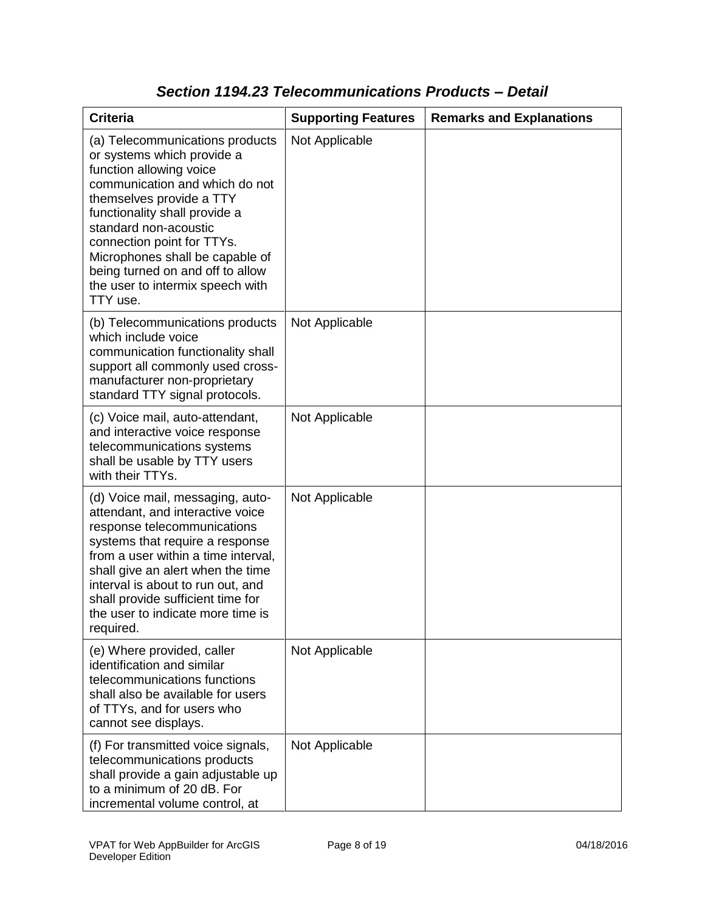| <b>Criteria</b>                                                                                                                                                                                                                                                                                                                                                       | <b>Supporting Features</b> | <b>Remarks and Explanations</b> |
|-----------------------------------------------------------------------------------------------------------------------------------------------------------------------------------------------------------------------------------------------------------------------------------------------------------------------------------------------------------------------|----------------------------|---------------------------------|
| (a) Telecommunications products<br>or systems which provide a<br>function allowing voice<br>communication and which do not<br>themselves provide a TTY<br>functionality shall provide a<br>standard non-acoustic<br>connection point for TTYs.<br>Microphones shall be capable of<br>being turned on and off to allow<br>the user to intermix speech with<br>TTY use. | Not Applicable             |                                 |
| (b) Telecommunications products<br>which include voice<br>communication functionality shall<br>support all commonly used cross-<br>manufacturer non-proprietary<br>standard TTY signal protocols.                                                                                                                                                                     | Not Applicable             |                                 |
| (c) Voice mail, auto-attendant,<br>and interactive voice response<br>telecommunications systems<br>shall be usable by TTY users<br>with their TTYs.                                                                                                                                                                                                                   | Not Applicable             |                                 |
| (d) Voice mail, messaging, auto-<br>attendant, and interactive voice<br>response telecommunications<br>systems that require a response<br>from a user within a time interval,<br>shall give an alert when the time<br>interval is about to run out, and<br>shall provide sufficient time for<br>the user to indicate more time is<br>required.                        | Not Applicable             |                                 |
| (e) Where provided, caller<br>identification and similar<br>telecommunications functions<br>shall also be available for users<br>of TTYs, and for users who<br>cannot see displays.                                                                                                                                                                                   | Not Applicable             |                                 |
| (f) For transmitted voice signals,<br>telecommunications products<br>shall provide a gain adjustable up<br>to a minimum of 20 dB. For<br>incremental volume control, at                                                                                                                                                                                               | Not Applicable             |                                 |

### *Section 1194.23 Telecommunications Products – Detail*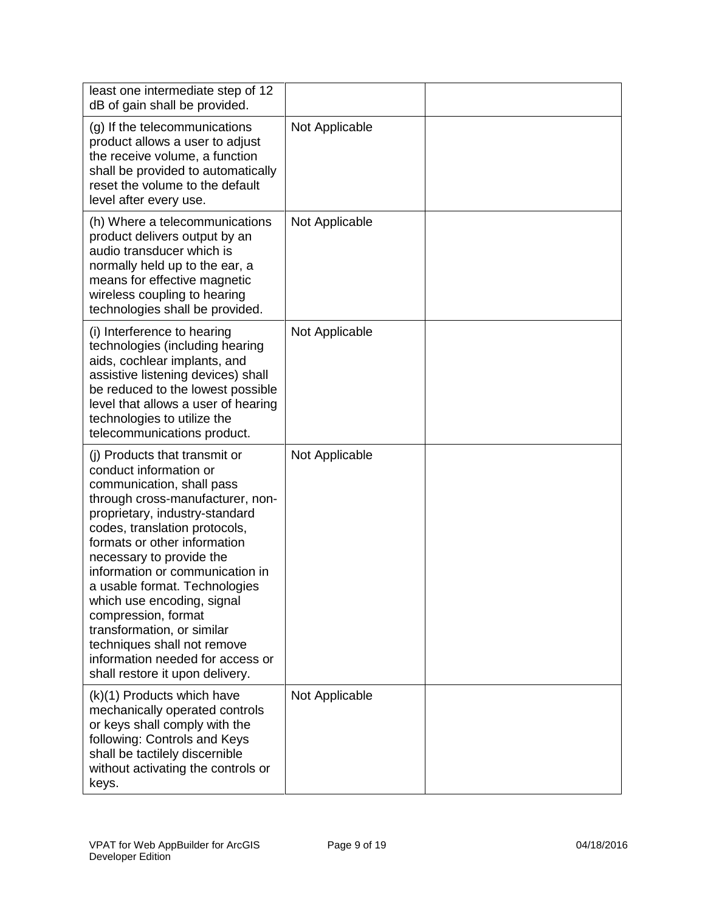| least one intermediate step of 12<br>dB of gain shall be provided.                                                                                                                                                                                                                                                                                                                                                                                                                                                   |                |  |
|----------------------------------------------------------------------------------------------------------------------------------------------------------------------------------------------------------------------------------------------------------------------------------------------------------------------------------------------------------------------------------------------------------------------------------------------------------------------------------------------------------------------|----------------|--|
| (g) If the telecommunications<br>product allows a user to adjust<br>the receive volume, a function<br>shall be provided to automatically<br>reset the volume to the default<br>level after every use.                                                                                                                                                                                                                                                                                                                | Not Applicable |  |
| (h) Where a telecommunications<br>product delivers output by an<br>audio transducer which is<br>normally held up to the ear, a<br>means for effective magnetic<br>wireless coupling to hearing<br>technologies shall be provided.                                                                                                                                                                                                                                                                                    | Not Applicable |  |
| (i) Interference to hearing<br>technologies (including hearing<br>aids, cochlear implants, and<br>assistive listening devices) shall<br>be reduced to the lowest possible<br>level that allows a user of hearing<br>technologies to utilize the<br>telecommunications product.                                                                                                                                                                                                                                       | Not Applicable |  |
| (i) Products that transmit or<br>conduct information or<br>communication, shall pass<br>through cross-manufacturer, non-<br>proprietary, industry-standard<br>codes, translation protocols,<br>formats or other information<br>necessary to provide the<br>information or communication in<br>a usable format. Technologies<br>which use encoding, signal<br>compression, format<br>transformation, or similar<br>techniques shall not remove<br>information needed for access or<br>shall restore it upon delivery. | Not Applicable |  |
| (k)(1) Products which have<br>mechanically operated controls<br>or keys shall comply with the<br>following: Controls and Keys<br>shall be tactilely discernible<br>without activating the controls or<br>keys.                                                                                                                                                                                                                                                                                                       | Not Applicable |  |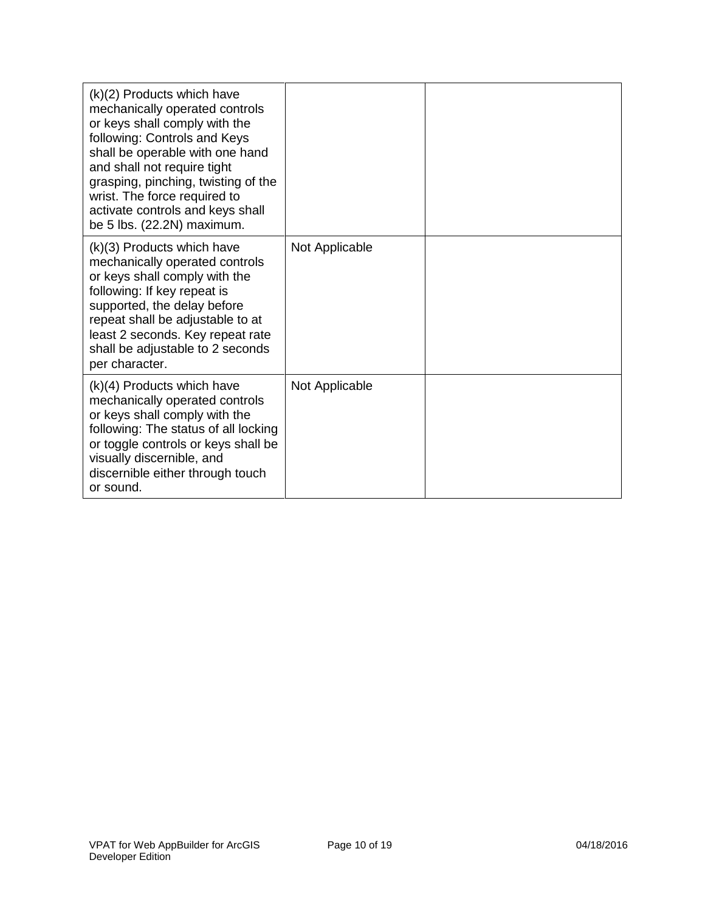| (k)(2) Products which have<br>mechanically operated controls<br>or keys shall comply with the<br>following: Controls and Keys<br>shall be operable with one hand<br>and shall not require tight<br>grasping, pinching, twisting of the<br>wrist. The force required to<br>activate controls and keys shall<br>be 5 lbs. (22.2N) maximum. |                |  |
|------------------------------------------------------------------------------------------------------------------------------------------------------------------------------------------------------------------------------------------------------------------------------------------------------------------------------------------|----------------|--|
| (k)(3) Products which have<br>mechanically operated controls<br>or keys shall comply with the<br>following: If key repeat is<br>supported, the delay before<br>repeat shall be adjustable to at<br>least 2 seconds. Key repeat rate<br>shall be adjustable to 2 seconds<br>per character.                                                | Not Applicable |  |
| $(k)(4)$ Products which have<br>mechanically operated controls<br>or keys shall comply with the<br>following: The status of all locking<br>or toggle controls or keys shall be<br>visually discernible, and<br>discernible either through touch<br>or sound.                                                                             | Not Applicable |  |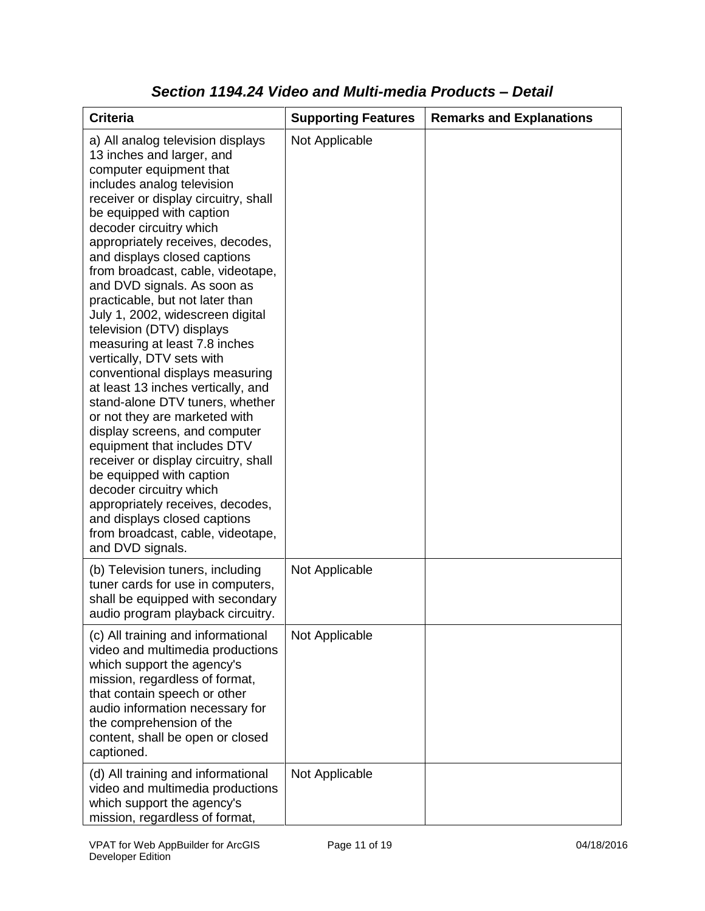| <b>Criteria</b>                                                                                                                                                                                                                                                                                                                                                                                                                                                                                                                                                                                                                                                                                                                                                                                                                                                                                                                                                           | <b>Supporting Features</b> | <b>Remarks and Explanations</b> |
|---------------------------------------------------------------------------------------------------------------------------------------------------------------------------------------------------------------------------------------------------------------------------------------------------------------------------------------------------------------------------------------------------------------------------------------------------------------------------------------------------------------------------------------------------------------------------------------------------------------------------------------------------------------------------------------------------------------------------------------------------------------------------------------------------------------------------------------------------------------------------------------------------------------------------------------------------------------------------|----------------------------|---------------------------------|
| a) All analog television displays<br>13 inches and larger, and<br>computer equipment that<br>includes analog television<br>receiver or display circuitry, shall<br>be equipped with caption<br>decoder circuitry which<br>appropriately receives, decodes,<br>and displays closed captions<br>from broadcast, cable, videotape,<br>and DVD signals. As soon as<br>practicable, but not later than<br>July 1, 2002, widescreen digital<br>television (DTV) displays<br>measuring at least 7.8 inches<br>vertically, DTV sets with<br>conventional displays measuring<br>at least 13 inches vertically, and<br>stand-alone DTV tuners, whether<br>or not they are marketed with<br>display screens, and computer<br>equipment that includes DTV<br>receiver or display circuitry, shall<br>be equipped with caption<br>decoder circuitry which<br>appropriately receives, decodes,<br>and displays closed captions<br>from broadcast, cable, videotape,<br>and DVD signals. | Not Applicable             |                                 |
| (b) Television tuners, including<br>tuner cards for use in computers,<br>shall be equipped with secondary<br>audio program playback circuitry.                                                                                                                                                                                                                                                                                                                                                                                                                                                                                                                                                                                                                                                                                                                                                                                                                            | Not Applicable             |                                 |
| (c) All training and informational<br>video and multimedia productions<br>which support the agency's<br>mission, regardless of format,<br>that contain speech or other<br>audio information necessary for<br>the comprehension of the<br>content, shall be open or closed<br>captioned.                                                                                                                                                                                                                                                                                                                                                                                                                                                                                                                                                                                                                                                                                   | Not Applicable             |                                 |
| (d) All training and informational<br>video and multimedia productions<br>which support the agency's<br>mission, regardless of format,                                                                                                                                                                                                                                                                                                                                                                                                                                                                                                                                                                                                                                                                                                                                                                                                                                    | Not Applicable             |                                 |

#### *Section 1194.24 Video and Multi-media Products – Detail*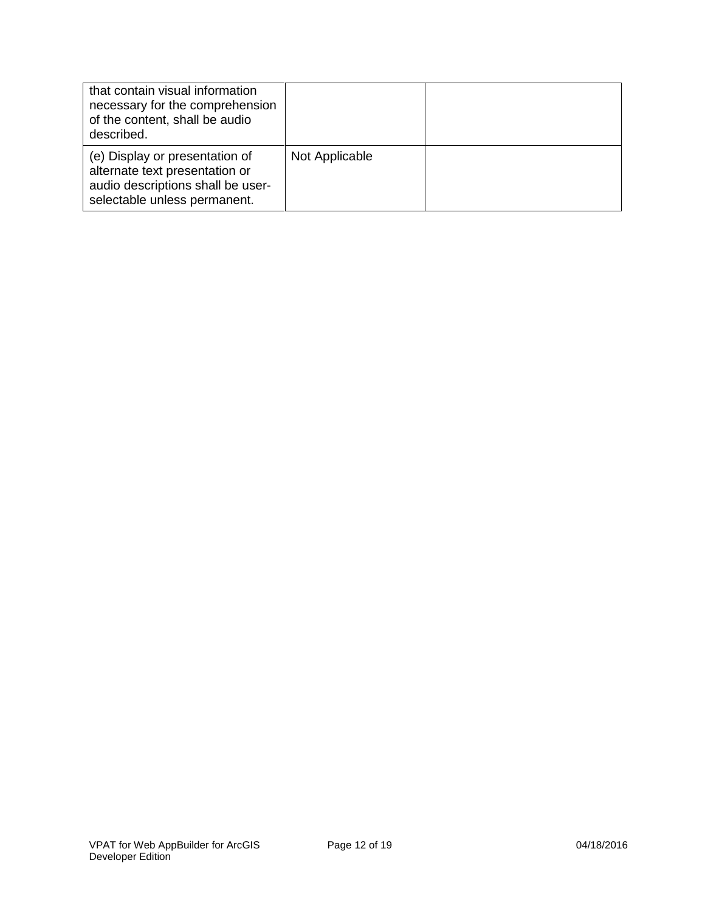| that contain visual information<br>necessary for the comprehension<br>of the content, shall be audio<br>described.                    |                |  |
|---------------------------------------------------------------------------------------------------------------------------------------|----------------|--|
| (e) Display or presentation of<br>alternate text presentation or<br>audio descriptions shall be user-<br>selectable unless permanent. | Not Applicable |  |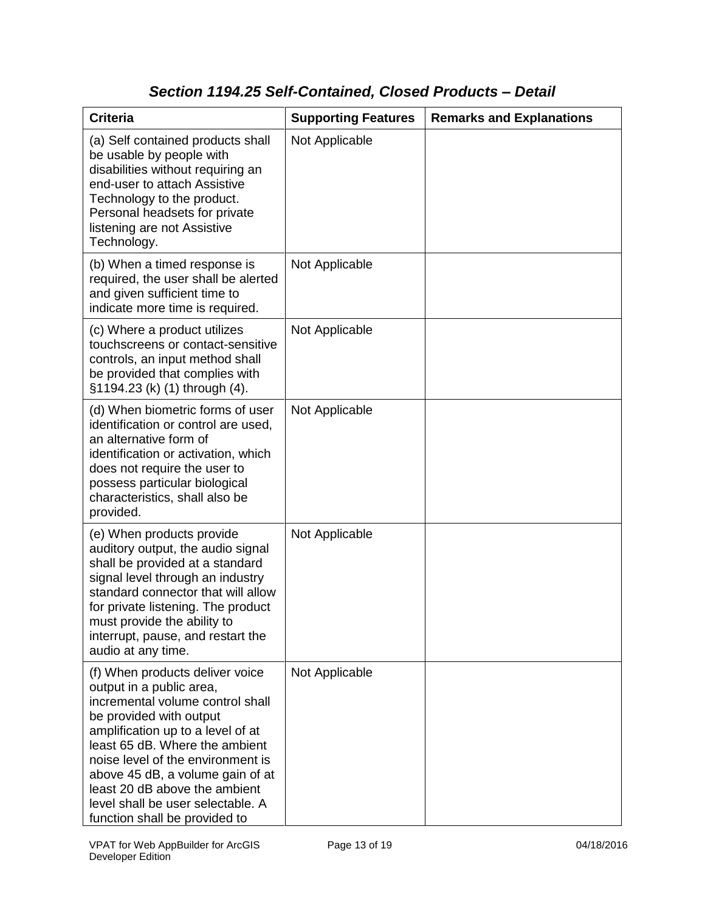## *Section 1194.25 Self-Contained, Closed Products – Detail*

| <b>Criteria</b>                                                                                                                                                                                                                                                                                                                                                                   | <b>Supporting Features</b> | <b>Remarks and Explanations</b> |
|-----------------------------------------------------------------------------------------------------------------------------------------------------------------------------------------------------------------------------------------------------------------------------------------------------------------------------------------------------------------------------------|----------------------------|---------------------------------|
| (a) Self contained products shall<br>be usable by people with<br>disabilities without requiring an<br>end-user to attach Assistive<br>Technology to the product.<br>Personal headsets for private<br>listening are not Assistive<br>Technology.                                                                                                                                   | Not Applicable             |                                 |
| (b) When a timed response is<br>required, the user shall be alerted<br>and given sufficient time to<br>indicate more time is required.                                                                                                                                                                                                                                            | Not Applicable             |                                 |
| (c) Where a product utilizes<br>touchscreens or contact-sensitive<br>controls, an input method shall<br>be provided that complies with<br>§1194.23 (k) (1) through (4).                                                                                                                                                                                                           | Not Applicable             |                                 |
| (d) When biometric forms of user<br>identification or control are used,<br>an alternative form of<br>identification or activation, which<br>does not require the user to<br>possess particular biological<br>characteristics, shall also be<br>provided.                                                                                                                          | Not Applicable             |                                 |
| (e) When products provide<br>auditory output, the audio signal<br>shall be provided at a standard<br>signal level through an industry<br>standard connector that will allow<br>for private listening. The product<br>must provide the ability to<br>interrupt, pause, and restart the<br>audio at any time.                                                                       | Not Applicable             |                                 |
| (f) When products deliver voice<br>output in a public area,<br>incremental volume control shall<br>be provided with output<br>amplification up to a level of at<br>least 65 dB. Where the ambient<br>noise level of the environment is<br>above 45 dB, a volume gain of at<br>least 20 dB above the ambient<br>level shall be user selectable. A<br>function shall be provided to | Not Applicable             |                                 |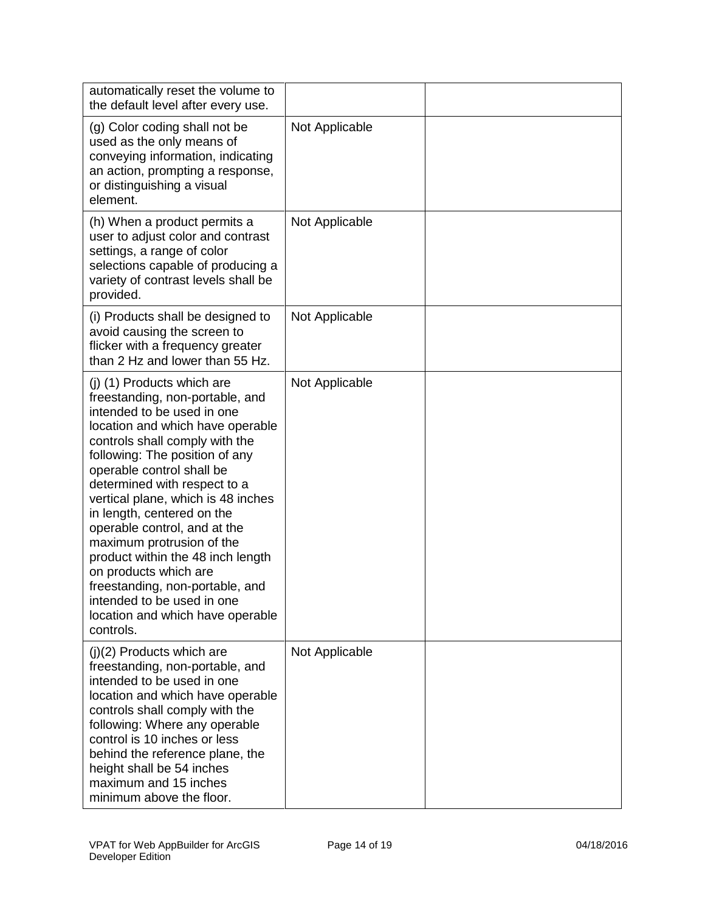| automatically reset the volume to<br>the default level after every use.                                                                                                                                                                                                                                                                                                                                                                                                                                                                                                           |                |  |
|-----------------------------------------------------------------------------------------------------------------------------------------------------------------------------------------------------------------------------------------------------------------------------------------------------------------------------------------------------------------------------------------------------------------------------------------------------------------------------------------------------------------------------------------------------------------------------------|----------------|--|
| (g) Color coding shall not be<br>used as the only means of<br>conveying information, indicating<br>an action, prompting a response,<br>or distinguishing a visual<br>element.                                                                                                                                                                                                                                                                                                                                                                                                     | Not Applicable |  |
| (h) When a product permits a<br>user to adjust color and contrast<br>settings, a range of color<br>selections capable of producing a<br>variety of contrast levels shall be<br>provided.                                                                                                                                                                                                                                                                                                                                                                                          | Not Applicable |  |
| (i) Products shall be designed to<br>avoid causing the screen to<br>flicker with a frequency greater<br>than 2 Hz and lower than 55 Hz.                                                                                                                                                                                                                                                                                                                                                                                                                                           | Not Applicable |  |
| (j) (1) Products which are<br>freestanding, non-portable, and<br>intended to be used in one<br>location and which have operable<br>controls shall comply with the<br>following: The position of any<br>operable control shall be<br>determined with respect to a<br>vertical plane, which is 48 inches<br>in length, centered on the<br>operable control, and at the<br>maximum protrusion of the<br>product within the 48 inch length<br>on products which are<br>freestanding, non-portable, and<br>intended to be used in one<br>location and which have operable<br>controls. | Not Applicable |  |
| $(j)(2)$ Products which are<br>freestanding, non-portable, and<br>intended to be used in one<br>location and which have operable<br>controls shall comply with the<br>following: Where any operable<br>control is 10 inches or less<br>behind the reference plane, the<br>height shall be 54 inches<br>maximum and 15 inches<br>minimum above the floor.                                                                                                                                                                                                                          | Not Applicable |  |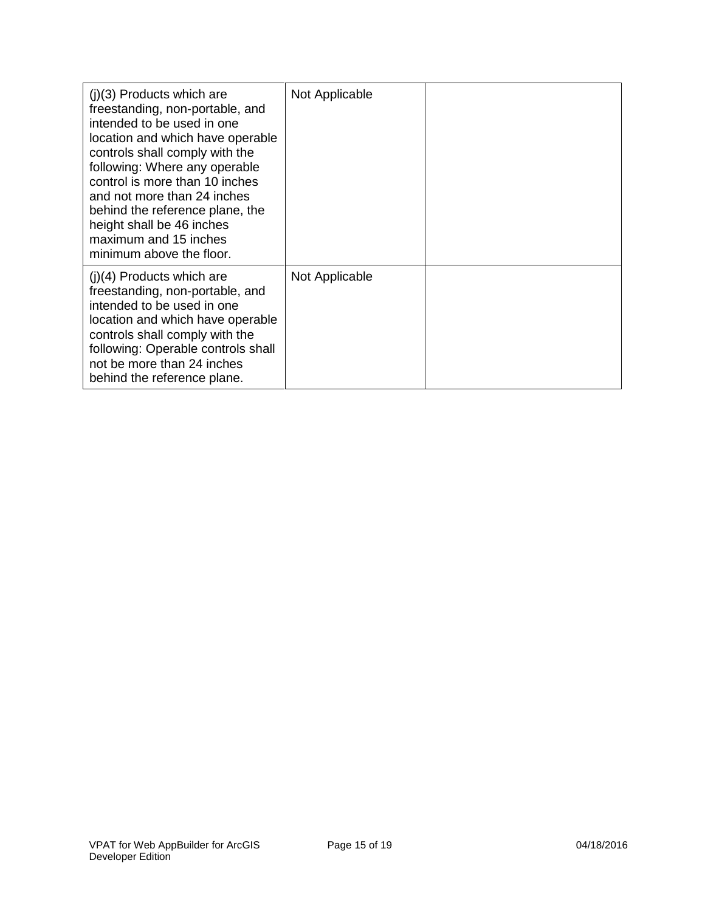| $(i)(3)$ Products which are<br>freestanding, non-portable, and<br>intended to be used in one<br>location and which have operable<br>controls shall comply with the<br>following: Where any operable<br>control is more than 10 inches<br>and not more than 24 inches<br>behind the reference plane, the<br>height shall be 46 inches<br>maximum and 15 inches<br>minimum above the floor. | Not Applicable |  |
|-------------------------------------------------------------------------------------------------------------------------------------------------------------------------------------------------------------------------------------------------------------------------------------------------------------------------------------------------------------------------------------------|----------------|--|
| $(i)(4)$ Products which are<br>freestanding, non-portable, and<br>intended to be used in one<br>location and which have operable<br>controls shall comply with the<br>following: Operable controls shall<br>not be more than 24 inches<br>behind the reference plane.                                                                                                                     | Not Applicable |  |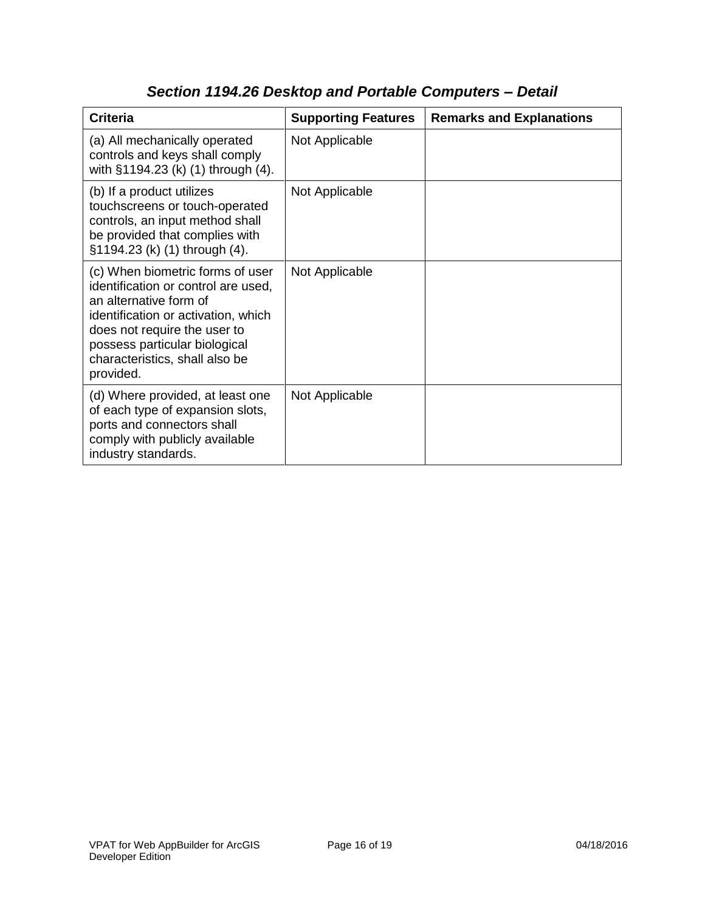| <b>Criteria</b>                                                                                                                                                                                                                                          | <b>Supporting Features</b> | <b>Remarks and Explanations</b> |
|----------------------------------------------------------------------------------------------------------------------------------------------------------------------------------------------------------------------------------------------------------|----------------------------|---------------------------------|
| (a) All mechanically operated<br>controls and keys shall comply<br>with §1194.23 (k) (1) through (4).                                                                                                                                                    | Not Applicable             |                                 |
| (b) If a product utilizes<br>touchscreens or touch-operated<br>controls, an input method shall<br>be provided that complies with<br>§1194.23 (k) (1) through (4).                                                                                        | Not Applicable             |                                 |
| (c) When biometric forms of user<br>identification or control are used,<br>an alternative form of<br>identification or activation, which<br>does not require the user to<br>possess particular biological<br>characteristics, shall also be<br>provided. | Not Applicable             |                                 |
| (d) Where provided, at least one<br>of each type of expansion slots,<br>ports and connectors shall<br>comply with publicly available<br>industry standards.                                                                                              | Not Applicable             |                                 |

# *Section 1194.26 Desktop and Portable Computers – Detail*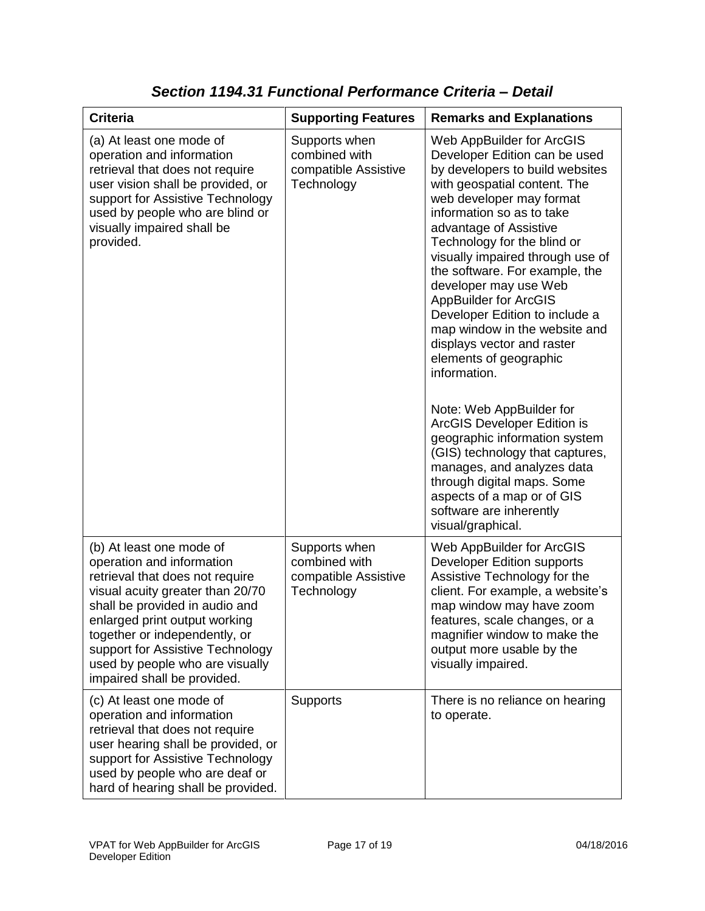| <b>Criteria</b>                                                                                                                                                                                                                                                                                                                        | <b>Supporting Features</b>                                           | <b>Remarks and Explanations</b>                                                                                                                                                                                                                                                                                                                                                                                                                                                                                                                                                                                                                                                                                                                                                                    |
|----------------------------------------------------------------------------------------------------------------------------------------------------------------------------------------------------------------------------------------------------------------------------------------------------------------------------------------|----------------------------------------------------------------------|----------------------------------------------------------------------------------------------------------------------------------------------------------------------------------------------------------------------------------------------------------------------------------------------------------------------------------------------------------------------------------------------------------------------------------------------------------------------------------------------------------------------------------------------------------------------------------------------------------------------------------------------------------------------------------------------------------------------------------------------------------------------------------------------------|
| (a) At least one mode of<br>operation and information<br>retrieval that does not require<br>user vision shall be provided, or<br>support for Assistive Technology<br>used by people who are blind or<br>visually impaired shall be<br>provided.                                                                                        | Supports when<br>combined with<br>compatible Assistive<br>Technology | Web AppBuilder for ArcGIS<br>Developer Edition can be used<br>by developers to build websites<br>with geospatial content. The<br>web developer may format<br>information so as to take<br>advantage of Assistive<br>Technology for the blind or<br>visually impaired through use of<br>the software. For example, the<br>developer may use Web<br><b>AppBuilder for ArcGIS</b><br>Developer Edition to include a<br>map window in the website and<br>displays vector and raster<br>elements of geographic<br>information.<br>Note: Web AppBuilder for<br>ArcGIS Developer Edition is<br>geographic information system<br>(GIS) technology that captures,<br>manages, and analyzes data<br>through digital maps. Some<br>aspects of a map or of GIS<br>software are inherently<br>visual/graphical. |
| (b) At least one mode of<br>operation and information<br>retrieval that does not require<br>visual acuity greater than 20/70<br>shall be provided in audio and<br>enlarged print output working<br>together or independently, or<br>support for Assistive Technology<br>used by people who are visually<br>impaired shall be provided. | Supports when<br>combined with<br>compatible Assistive<br>Technology | Web AppBuilder for ArcGIS<br><b>Developer Edition supports</b><br>Assistive Technology for the<br>client. For example, a website's<br>map window may have zoom<br>features, scale changes, or a<br>magnifier window to make the<br>output more usable by the<br>visually impaired.                                                                                                                                                                                                                                                                                                                                                                                                                                                                                                                 |
| (c) At least one mode of<br>operation and information<br>retrieval that does not require<br>user hearing shall be provided, or<br>support for Assistive Technology<br>used by people who are deaf or<br>hard of hearing shall be provided.                                                                                             | <b>Supports</b>                                                      | There is no reliance on hearing<br>to operate.                                                                                                                                                                                                                                                                                                                                                                                                                                                                                                                                                                                                                                                                                                                                                     |

*Section 1194.31 Functional Performance Criteria – Detail*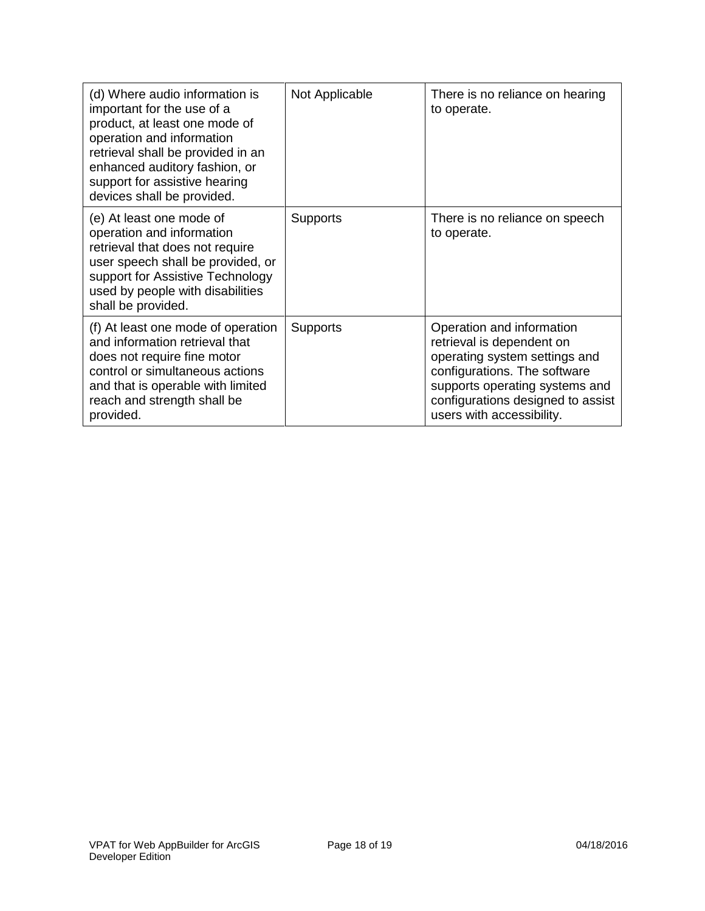| (d) Where audio information is<br>important for the use of a<br>product, at least one mode of<br>operation and information<br>retrieval shall be provided in an<br>enhanced auditory fashion, or<br>support for assistive hearing<br>devices shall be provided. | Not Applicable  | There is no reliance on hearing<br>to operate.                                                                                                                                                                              |
|-----------------------------------------------------------------------------------------------------------------------------------------------------------------------------------------------------------------------------------------------------------------|-----------------|-----------------------------------------------------------------------------------------------------------------------------------------------------------------------------------------------------------------------------|
| (e) At least one mode of<br>operation and information<br>retrieval that does not require<br>user speech shall be provided, or<br>support for Assistive Technology<br>used by people with disabilities<br>shall be provided.                                     | <b>Supports</b> | There is no reliance on speech<br>to operate.                                                                                                                                                                               |
| (f) At least one mode of operation<br>and information retrieval that<br>does not require fine motor<br>control or simultaneous actions<br>and that is operable with limited<br>reach and strength shall be<br>provided.                                         | <b>Supports</b> | Operation and information<br>retrieval is dependent on<br>operating system settings and<br>configurations. The software<br>supports operating systems and<br>configurations designed to assist<br>users with accessibility. |